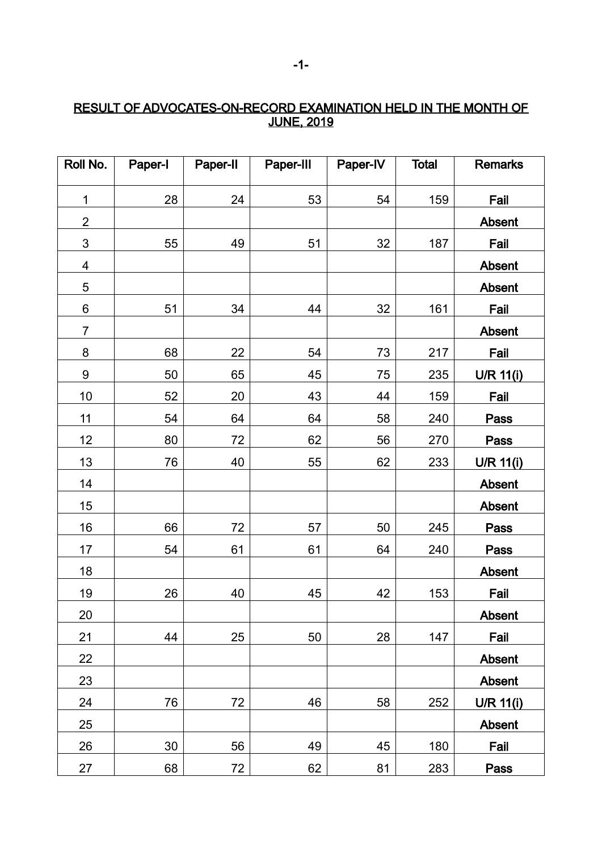## RESULT OF ADVOCATES-ON-RECORD EXAMINATION HELD IN THE MONTH OF <u>JUNE, 2019</u>

| Roll No.                  | Paper-I | Paper-II | Paper-III | Paper-IV | <b>Total</b> | <b>Remarks</b>   |
|---------------------------|---------|----------|-----------|----------|--------------|------------------|
| $\mathbf 1$               | 28      | 24       | 53        | 54       | 159          | Fail             |
| $\overline{2}$            |         |          |           |          |              | Absent           |
| $\ensuremath{\mathsf{3}}$ | 55      | 49       | 51        | 32       | 187          | Fail             |
| 4                         |         |          |           |          |              | Absent           |
| 5                         |         |          |           |          |              | Absent           |
| 6                         | 51      | 34       | 44        | 32       | 161          | Fail             |
| $\overline{7}$            |         |          |           |          |              | Absent           |
| 8                         | 68      | 22       | 54        | 73       | 217          | Fail             |
| 9                         | 50      | 65       | 45        | 75       | 235          | U/R 11(i)        |
| 10                        | 52      | 20       | 43        | 44       | 159          | Fail             |
| 11                        | 54      | 64       | 64        | 58       | 240          | <b>Pass</b>      |
| 12                        | 80      | 72       | 62        | 56       | 270          | <b>Pass</b>      |
| 13                        | 76      | 40       | 55        | 62       | 233          | <b>U/R 11(i)</b> |
| 14                        |         |          |           |          |              | Absent           |
| 15                        |         |          |           |          |              | Absent           |
| 16                        | 66      | 72       | 57        | 50       | 245          | <b>Pass</b>      |
| 17                        | 54      | 61       | 61        | 64       | 240          | <b>Pass</b>      |
| 18                        |         |          |           |          |              | Absent           |
| 19                        | 26      | 40       | 45        | 42       | 153          | Fail             |
| 20                        |         |          |           |          |              | Absent           |
| 21                        | 44      | 25       | 50        | 28       | 147          | Fail             |
| 22                        |         |          |           |          |              | <b>Absent</b>    |
| 23                        |         |          |           |          |              | Absent           |
| 24                        | 76      | 72       | 46        | 58       | 252          | U/R 11(i)        |
| 25                        |         |          |           |          |              | Absent           |
| 26                        | 30      | 56       | 49        | 45       | 180          | Fail             |
| 27                        | 68      | 72       | 62        | 81       | 283          | Pass             |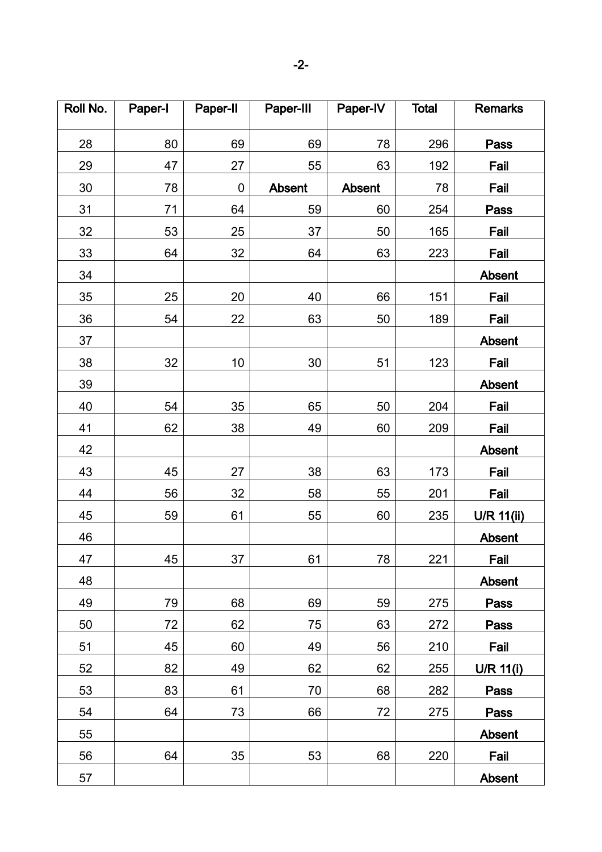| Roll No. | Paper-I | Paper-II  | Paper-III | Paper-IV      | <b>Total</b> | <b>Remarks</b> |
|----------|---------|-----------|-----------|---------------|--------------|----------------|
| 28       | 80      | 69        | 69        | 78            | 296          | Pass           |
| 29       | 47      | 27        | 55        | 63            | 192          | Fail           |
| 30       | 78      | $\pmb{0}$ | Absent    | <b>Absent</b> | 78           | Fail           |
| 31       | 71      | 64        | 59        | 60            | 254          | Pass           |
| 32       | 53      | 25        | 37        | 50            | 165          | Fail           |
| 33       | 64      | 32        | 64        | 63            | 223          | Fail           |
| 34       |         |           |           |               |              | Absent         |
| 35       | 25      | 20        | 40        | 66            | 151          | Fail           |
| 36       | 54      | 22        | 63        | 50            | 189          | Fail           |
| 37       |         |           |           |               |              | Absent         |
| 38       | 32      | 10        | 30        | 51            | 123          | Fail           |
| 39       |         |           |           |               |              | Absent         |
| 40       | 54      | 35        | 65        | 50            | 204          | Fail           |
| 41       | 62      | 38        | 49        | 60            | 209          | Fail           |
| 42       |         |           |           |               |              | Absent         |
| 43       | 45      | 27        | 38        | 63            | 173          | Fail           |
| 44       | 56      | 32        | 58        | 55            | 201          | Fail           |
| 45       | 59      | 61        | 55        | 60            | 235          | U/R 11(ii)     |
| 46       |         |           |           |               |              | Absent         |
| 47       | 45      | 37        | 61        | 78            | 221          | Fail           |
| 48       |         |           |           |               |              | <b>Absent</b>  |
| 49       | 79      | 68        | 69        | 59            | 275          | Pass           |
| 50       | 72      | 62        | 75        | 63            | 272          | Pass           |
| 51       | 45      | 60        | 49        | 56            | 210          | Fail           |
| 52       | 82      | 49        | 62        | 62            | 255          | U/R 11(i)      |
| 53       | 83      | 61        | 70        | 68            | 282          | Pass           |
| 54       | 64      | 73        | 66        | 72            | 275          | Pass           |
| 55       |         |           |           |               |              | Absent         |
| 56       | 64      | 35        | 53        | 68            | 220          | Fail           |
| 57       |         |           |           |               |              | Absent         |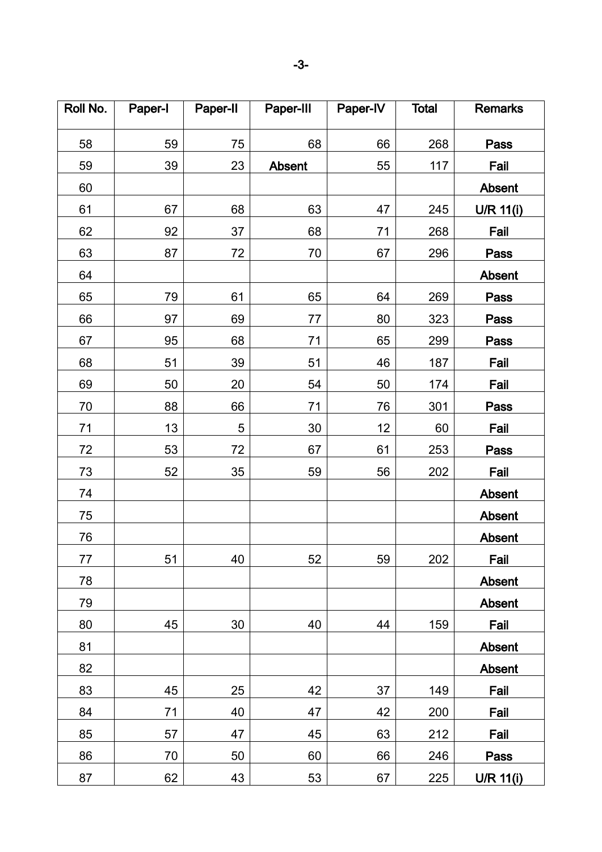| Roll No. | Paper-I | Paper-II | Paper-III | Paper-IV | <b>Total</b> | <b>Remarks</b>   |
|----------|---------|----------|-----------|----------|--------------|------------------|
| 58       | 59      | 75       | 68        | 66       | 268          | Pass             |
| 59       | 39      | 23       | Absent    | 55       | 117          | Fail             |
| 60       |         |          |           |          |              | Absent           |
| 61       | 67      | 68       | 63        | 47       | 245          | U/R 11(i)        |
| 62       | 92      | 37       | 68        | 71       | 268          | Fail             |
| 63       | 87      | 72       | 70        | 67       | 296          | Pass             |
| 64       |         |          |           |          |              | <b>Absent</b>    |
| 65       | 79      | 61       | 65        | 64       | 269          | Pass             |
| 66       | 97      | 69       | 77        | 80       | 323          | Pass             |
| 67       | 95      | 68       | 71        | 65       | 299          | Pass             |
| 68       | 51      | 39       | 51        | 46       | 187          | Fail             |
| 69       | 50      | 20       | 54        | 50       | 174          | Fail             |
| 70       | 88      | 66       | 71        | 76       | 301          | Pass             |
| 71       | 13      | 5        | 30        | 12       | 60           | Fail             |
| 72       | 53      | 72       | 67        | 61       | 253          | Pass             |
| 73       | 52      | 35       | 59        | 56       | 202          | Fail             |
| 74       |         |          |           |          |              | Absent           |
| 75       |         |          |           |          |              | Absent           |
| 76       |         |          |           |          |              | Absent           |
| 77       | 51      | 40       | 52        | 59       | 202          | Fail             |
| 78       |         |          |           |          |              | Absent           |
| 79       |         |          |           |          |              | Absent           |
| 80       | 45      | 30       | 40        | 44       | 159          | Fail             |
| 81       |         |          |           |          |              | <b>Absent</b>    |
| 82       |         |          |           |          |              | Absent           |
| 83       | 45      | 25       | 42        | 37       | 149          | Fail             |
| 84       | 71      | 40       | 47        | 42       | 200          | Fail             |
| 85       | 57      | 47       | 45        | 63       | 212          | Fail             |
| 86       | 70      | 50       | 60        | 66       | 246          | Pass             |
| 87       | 62      | 43       | 53        | 67       | 225          | <b>U/R 11(i)</b> |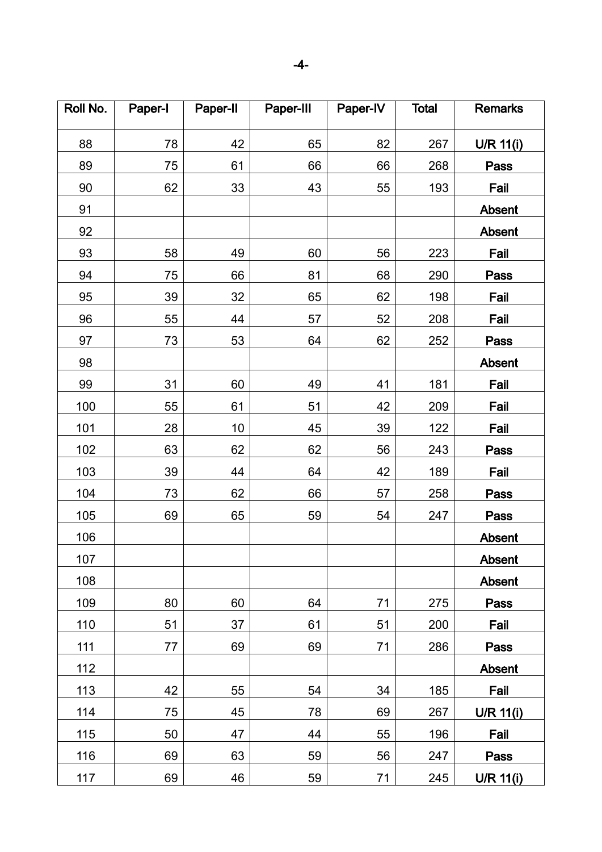| Roll No. | Paper-I | Paper-II | Paper-III | Paper-IV | <b>Total</b> | <b>Remarks</b> |
|----------|---------|----------|-----------|----------|--------------|----------------|
| 88       | 78      | 42       | 65        | 82       | 267          | U/R 11(i)      |
| 89       | 75      | 61       | 66        | 66       | 268          | Pass           |
| 90       | 62      | 33       | 43        | 55       | 193          | Fail           |
| 91       |         |          |           |          |              | <b>Absent</b>  |
| 92       |         |          |           |          |              | <b>Absent</b>  |
| 93       | 58      | 49       | 60        | 56       | 223          | Fail           |
| 94       | 75      | 66       | 81        | 68       | 290          | Pass           |
| 95       | 39      | 32       | 65        | 62       | 198          | Fail           |
| 96       | 55      | 44       | 57        | 52       | 208          | Fail           |
| 97       | 73      | 53       | 64        | 62       | 252          | Pass           |
| 98       |         |          |           |          |              | Absent         |
| 99       | 31      | 60       | 49        | 41       | 181          | Fail           |
| 100      | 55      | 61       | 51        | 42       | 209          | Fail           |
| 101      | 28      | 10       | 45        | 39       | 122          | Fail           |
| 102      | 63      | 62       | 62        | 56       | 243          | Pass           |
| 103      | 39      | 44       | 64        | 42       | 189          | Fail           |
| 104      | 73      | 62       | 66        | 57       | 258          | <b>Pass</b>    |
| 105      | 69      | 65       | 59        | 54       | 247          | <b>Pass</b>    |
| 106      |         |          |           |          |              | Absent         |
| 107      |         |          |           |          |              | <b>Absent</b>  |
| 108      |         |          |           |          |              | Absent         |
| 109      | 80      | 60       | 64        | 71       | 275          | Pass           |
| 110      | 51      | 37       | 61        | 51       | 200          | Fail           |
| 111      | 77      | 69       | 69        | 71       | 286          | <b>Pass</b>    |
| 112      |         |          |           |          |              | Absent         |
| 113      | 42      | 55       | 54        | 34       | 185          | Fail           |
| 114      | 75      | 45       | 78        | 69       | 267          | $U/R$ 11(i)    |
| 115      | 50      | 47       | 44        | 55       | 196          | Fail           |
| 116      | 69      | 63       | 59        | 56       | 247          | Pass           |
| 117      | 69      | 46       | 59        | 71       | 245          | U/R 11(i)      |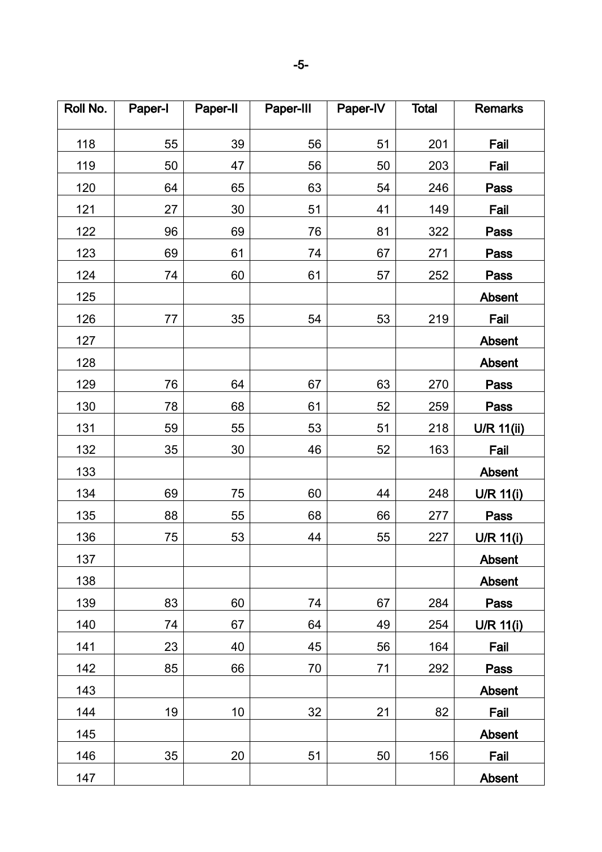| Roll No. | Paper-I | Paper-II | Paper-III | Paper-IV | <b>Total</b> | <b>Remarks</b> |
|----------|---------|----------|-----------|----------|--------------|----------------|
| 118      | 55      | 39       | 56        | 51       | 201          | Fail           |
| 119      | 50      | 47       | 56        | 50       | 203          | Fail           |
| 120      | 64      | 65       | 63        | 54       | 246          | Pass           |
| 121      | 27      | 30       | 51        | 41       | 149          | Fail           |
| 122      | 96      | 69       | 76        | 81       | 322          | Pass           |
| 123      | 69      | 61       | 74        | 67       | 271          | <b>Pass</b>    |
| 124      | 74      | 60       | 61        | 57       | 252          | Pass           |
| 125      |         |          |           |          |              | Absent         |
| 126      | 77      | 35       | 54        | 53       | 219          | Fail           |
| 127      |         |          |           |          |              | <b>Absent</b>  |
| 128      |         |          |           |          |              | <b>Absent</b>  |
| 129      | 76      | 64       | 67        | 63       | 270          | Pass           |
| 130      | 78      | 68       | 61        | 52       | 259          | <b>Pass</b>    |
| 131      | 59      | 55       | 53        | 51       | 218          | U/R 11(ii)     |
| 132      | 35      | 30       | 46        | 52       | 163          | Fail           |
| 133      |         |          |           |          |              | Absent         |
| 134      | 69      | 75       | 60        | 44       | 248          | U/R 11(i)      |
| 135      | 88      | 55       | 68        | 66       | 277          | <b>Pass</b>    |
| 136      | 75      | 53       | 44        | 55       | 227          | U/R 11(i)      |
| 137      |         |          |           |          |              | Absent         |
| 138      |         |          |           |          |              | Absent         |
| 139      | 83      | 60       | 74        | 67       | 284          | Pass           |
| 140      | 74      | 67       | 64        | 49       | 254          | U/R 11(i)      |
| 141      | 23      | 40       | 45        | 56       | 164          | Fail           |
| 142      | 85      | 66       | 70        | 71       | 292          | Pass           |
| 143      |         |          |           |          |              | <b>Absent</b>  |
| 144      | 19      | 10       | 32        | 21       | 82           | Fail           |
| 145      |         |          |           |          |              | Absent         |
| 146      | 35      | 20       | 51        | 50       | 156          | Fail           |
| 147      |         |          |           |          |              | Absent         |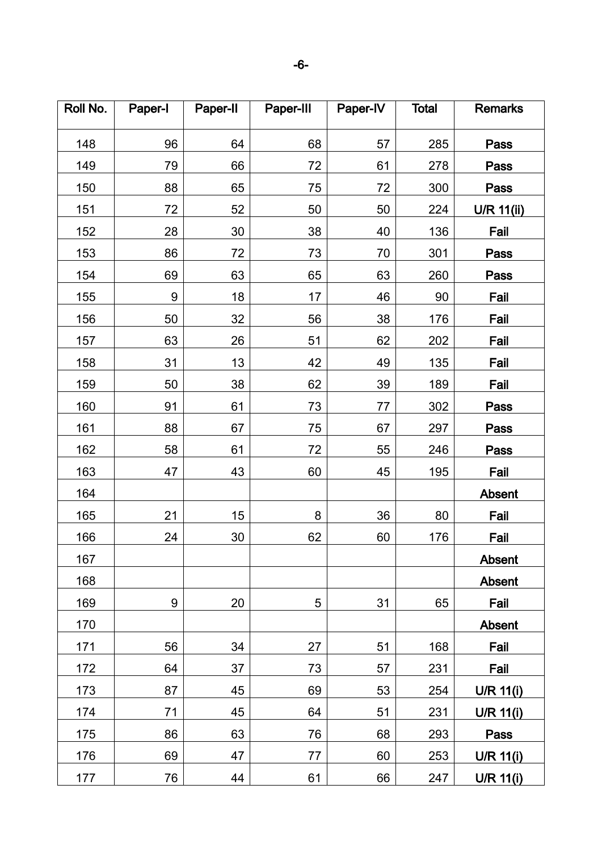| Roll No. | Paper-I | Paper-II | Paper-III | Paper-IV | <b>Total</b> | <b>Remarks</b>    |
|----------|---------|----------|-----------|----------|--------------|-------------------|
| 148      | 96      | 64       | 68        | 57       | 285          | Pass              |
| 149      | 79      | 66       | 72        | 61       | 278          | <b>Pass</b>       |
| 150      | 88      | 65       | 75        | 72       | 300          | <b>Pass</b>       |
| 151      | 72      | 52       | 50        | 50       | 224          | <b>U/R 11(ii)</b> |
| 152      | 28      | 30       | 38        | 40       | 136          | Fail              |
| 153      | 86      | 72       | 73        | 70       | 301          | <b>Pass</b>       |
| 154      | 69      | 63       | 65        | 63       | 260          | <b>Pass</b>       |
| 155      | 9       | 18       | 17        | 46       | 90           | Fail              |
| 156      | 50      | 32       | 56        | 38       | 176          | Fail              |
| 157      | 63      | 26       | 51        | 62       | 202          | Fail              |
| 158      | 31      | 13       | 42        | 49       | 135          | Fail              |
| 159      | 50      | 38       | 62        | 39       | 189          | Fail              |
| 160      | 91      | 61       | 73        | 77       | 302          | <b>Pass</b>       |
| 161      | 88      | 67       | 75        | 67       | 297          | <b>Pass</b>       |
| 162      | 58      | 61       | 72        | 55       | 246          | Pass              |
| 163      | 47      | 43       | 60        | 45       | 195          | Fail              |
| 164      |         |          |           |          |              | <b>Absent</b>     |
| 165      | 21      | 15       | 8         | 36       | 80           | Fail              |
| 166      | 24      | 30       | 62        | 60       | 176          | Fail              |
| 167      |         |          |           |          |              | <b>Absent</b>     |
| 168      |         |          |           |          |              | Absent            |
| 169      | 9       | 20       | 5         | 31       | 65           | Fail              |
| 170      |         |          |           |          |              | Absent            |
| 171      | 56      | 34       | 27        | 51       | 168          | Fail              |
| 172      | 64      | 37       | 73        | 57       | 231          | Fail              |
| 173      | 87      | 45       | 69        | 53       | 254          | U/R $11(i)$       |
| 174      | 71      | 45       | 64        | 51       | 231          | U/R $11(i)$       |
| 175      | 86      | 63       | 76        | 68       | 293          | Pass              |
| 176      | 69      | 47       | 77        | 60       | 253          | U/R 11(i)         |
| 177      | 76      | 44       | 61        | 66       | 247          | U/R 11(i)         |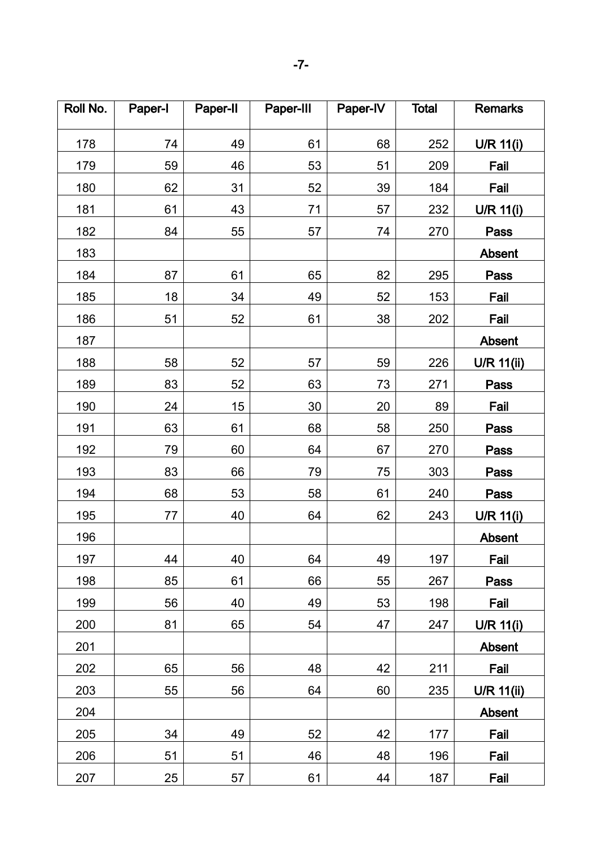| Roll No. | Paper-I | Paper-II | Paper-III | Paper-IV | <b>Total</b> | <b>Remarks</b> |
|----------|---------|----------|-----------|----------|--------------|----------------|
| 178      | 74      | 49       | 61        | 68       | 252          | $U/R$ 11(i)    |
| 179      | 59      | 46       | 53        | 51       | 209          | Fail           |
| 180      | 62      | 31       | 52        | 39       | 184          | Fail           |
| 181      | 61      | 43       | 71        | 57       | 232          | U/R 11(i)      |
| 182      | 84      | 55       | 57        | 74       | 270          | <b>Pass</b>    |
| 183      |         |          |           |          |              | Absent         |
| 184      | 87      | 61       | 65        | 82       | 295          | Pass           |
| 185      | 18      | 34       | 49        | 52       | 153          | Fail           |
| 186      | 51      | 52       | 61        | 38       | 202          | Fail           |
| 187      |         |          |           |          |              | <b>Absent</b>  |
| 188      | 58      | 52       | 57        | 59       | 226          | U/R 11(ii)     |
| 189      | 83      | 52       | 63        | 73       | 271          | <b>Pass</b>    |
| 190      | 24      | 15       | 30        | 20       | 89           | Fail           |
| 191      | 63      | 61       | 68        | 58       | 250          | <b>Pass</b>    |
| 192      | 79      | 60       | 64        | 67       | 270          | <b>Pass</b>    |
| 193      | 83      | 66       | 79        | 75       | 303          | <b>Pass</b>    |
| 194      | 68      | 53       | 58        | 61       | 240          | Pass           |
| 195      | 77      | 40       | 64        | 62       | 243          | U/R 11(i)      |
| 196      |         |          |           |          |              | <b>Absent</b>  |
| 197      | 44      | 40       | 64        | 49       | 197          | Fail           |
| 198      | 85      | 61       | 66        | 55       | 267          | Pass           |
| 199      | 56      | 40       | 49        | 53       | 198          | Fail           |
| 200      | 81      | 65       | 54        | 47       | 247          | U/R 11(i)      |
| 201      |         |          |           |          |              | Absent         |
| 202      | 65      | 56       | 48        | 42       | 211          | Fail           |
| 203      | 55      | 56       | 64        | 60       | 235          | $U/R$ 11(ii)   |
| 204      |         |          |           |          |              | Absent         |
| 205      | 34      | 49       | 52        | 42       | 177          | Fail           |
| 206      | 51      | 51       | 46        | 48       | 196          | Fail           |
| 207      | 25      | 57       | 61        | 44       | 187          | Fail           |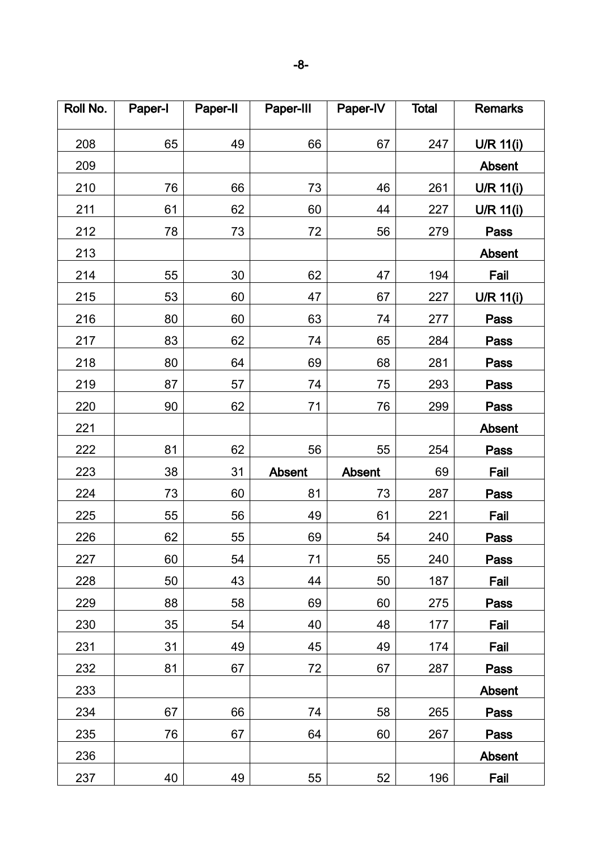| Roll No. | Paper-I | Paper-II | Paper-III | Paper-IV | <b>Total</b> | <b>Remarks</b> |
|----------|---------|----------|-----------|----------|--------------|----------------|
| 208      | 65      | 49       | 66        | 67       | 247          | $U/R$ 11(i)    |
| 209      |         |          |           |          |              | Absent         |
| 210      | 76      | 66       | 73        | 46       | 261          | U/R 11(i)      |
| 211      | 61      | 62       | 60        | 44       | 227          | U/R 11(i)      |
| 212      | 78      | 73       | 72        | 56       | 279          | <b>Pass</b>    |
| 213      |         |          |           |          |              | Absent         |
| 214      | 55      | 30       | 62        | 47       | 194          | Fail           |
| 215      | 53      | 60       | 47        | 67       | 227          | U/R 11(i)      |
| 216      | 80      | 60       | 63        | 74       | 277          | <b>Pass</b>    |
| 217      | 83      | 62       | 74        | 65       | 284          | Pass           |
| 218      | 80      | 64       | 69        | 68       | 281          | Pass           |
| 219      | 87      | 57       | 74        | 75       | 293          | <b>Pass</b>    |
| 220      | 90      | 62       | 71        | 76       | 299          | Pass           |
| 221      |         |          |           |          |              | <b>Absent</b>  |
| 222      | 81      | 62       | 56        | 55       | 254          | <b>Pass</b>    |
| 223      | 38      | 31       | Absent    | Absent   | 69           | Fail           |
| 224      | 73      | 60       | 81        | 73       | 287          | Pass           |
| 225      | 55      | 56       | 49        | 61       | 221          | Fail           |
| 226      | 62      | 55       | 69        | 54       | 240          | Pass           |
| 227      | 60      | 54       | 71        | 55       | 240          | <b>Pass</b>    |
| 228      | 50      | 43       | 44        | 50       | 187          | Fail           |
| 229      | 88      | 58       | 69        | 60       | 275          | Pass           |
| 230      | 35      | 54       | 40        | 48       | 177          | Fail           |
| 231      | 31      | 49       | 45        | 49       | 174          | Fail           |
| 232      | 81      | 67       | 72        | 67       | 287          | Pass           |
| 233      |         |          |           |          |              | <b>Absent</b>  |
| 234      | 67      | 66       | 74        | 58       | 265          | Pass           |
| 235      | 76      | 67       | 64        | 60       | 267          | Pass           |
| 236      |         |          |           |          |              | <b>Absent</b>  |
| 237      | 40      | 49       | 55        | 52       | 196          | Fail           |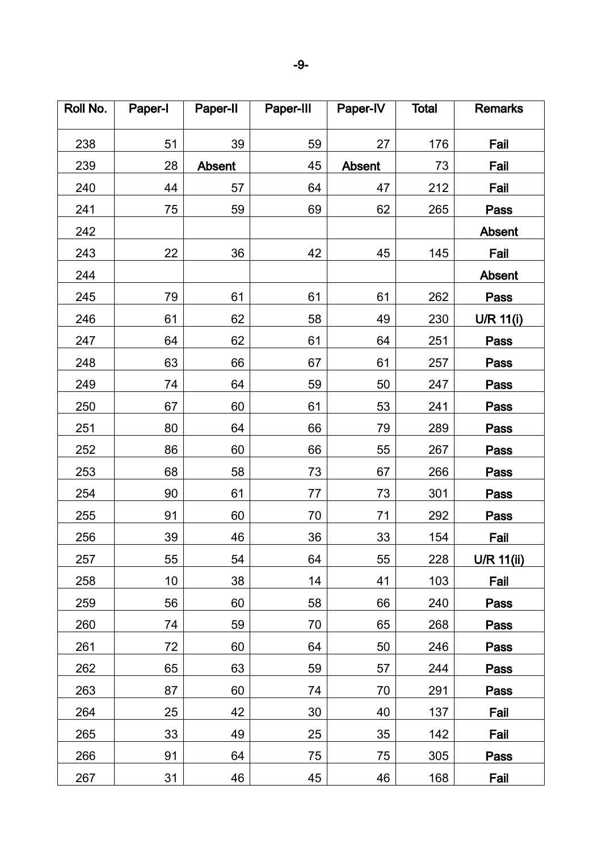| Roll No. | Paper-I | Paper-II | Paper-III | Paper-IV | <b>Total</b> | <b>Remarks</b>   |
|----------|---------|----------|-----------|----------|--------------|------------------|
| 238      | 51      | 39       | 59        | 27       | 176          | Fail             |
| 239      | 28      | Absent   | 45        | Absent   | 73           | Fail             |
| 240      | 44      | 57       | 64        | 47       | 212          | Fail             |
| 241      | 75      | 59       | 69        | 62       | 265          | Pass             |
| 242      |         |          |           |          |              | Absent           |
| 243      | 22      | 36       | 42        | 45       | 145          | Fail             |
| 244      |         |          |           |          |              | Absent           |
| 245      | 79      | 61       | 61        | 61       | 262          | Pass             |
| 246      | 61      | 62       | 58        | 49       | 230          | <b>U/R 11(i)</b> |
| 247      | 64      | 62       | 61        | 64       | 251          | Pass             |
| 248      | 63      | 66       | 67        | 61       | 257          | Pass             |
| 249      | 74      | 64       | 59        | 50       | 247          | <b>Pass</b>      |
| 250      | 67      | 60       | 61        | 53       | 241          | Pass             |
| 251      | 80      | 64       | 66        | 79       | 289          | <b>Pass</b>      |
| 252      | 86      | 60       | 66        | 55       | 267          | Pass             |
| 253      | 68      | 58       | 73        | 67       | 266          | Pass             |
| 254      | 90      | 61       | 77        | 73       | 301          | Pass             |
| 255      | 91      | 60       | 70        | 71       | 292          | <b>Pass</b>      |
| 256      | 39      | 46       | 36        | 33       | 154          | Fail             |
| 257      | 55      | 54       | 64        | 55       | 228          | U/R 11(ii)       |
| 258      | 10      | 38       | 14        | 41       | 103          | Fail             |
| 259      | 56      | 60       | 58        | 66       | 240          | Pass             |
| 260      | 74      | 59       | 70        | 65       | 268          | Pass             |
| 261      | 72      | 60       | 64        | 50       | 246          | <b>Pass</b>      |
| 262      | 65      | 63       | 59        | 57       | 244          | Pass             |
| 263      | 87      | 60       | 74        | 70       | 291          | Pass             |
| 264      | 25      | 42       | 30        | 40       | 137          | Fail             |
| 265      | 33      | 49       | 25        | 35       | 142          | Fail             |
| 266      | 91      | 64       | 75        | 75       | 305          | Pass             |
| 267      | 31      | 46       | 45        | 46       | 168          | Fail             |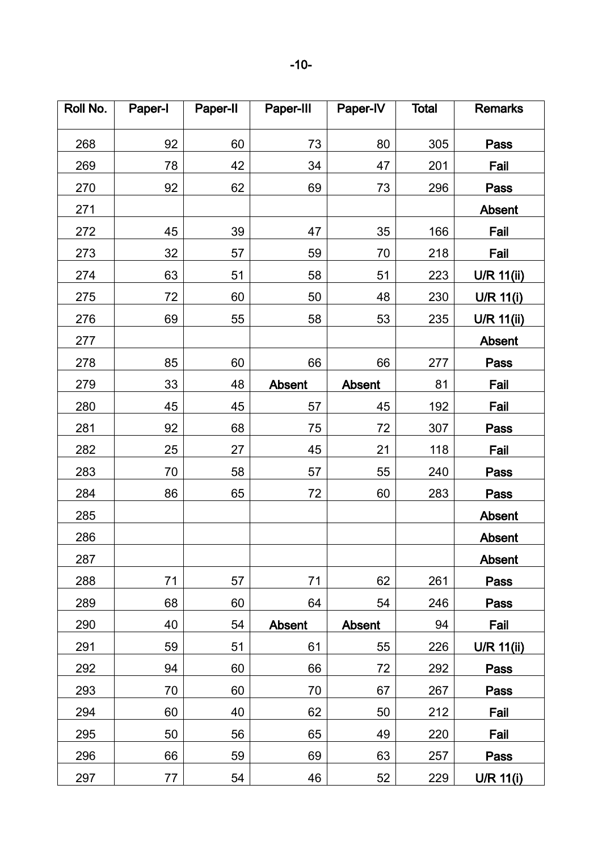| Roll No. | Paper-I | Paper-II | Paper-III | Paper-IV      | <b>Total</b> | <b>Remarks</b>    |
|----------|---------|----------|-----------|---------------|--------------|-------------------|
| 268      | 92      | 60       | 73        | 80            | 305          | Pass              |
| 269      | 78      | 42       | 34        | 47            | 201          | Fail              |
| 270      | 92      | 62       | 69        | 73            | 296          | Pass              |
| 271      |         |          |           |               |              | Absent            |
| 272      | 45      | 39       | 47        | 35            | 166          | Fail              |
| 273      | 32      | 57       | 59        | 70            | 218          | Fail              |
| 274      | 63      | 51       | 58        | 51            | 223          | U/R 11(ii)        |
| 275      | 72      | 60       | 50        | 48            | 230          | $U/R$ 11(i)       |
| 276      | 69      | 55       | 58        | 53            | 235          | <b>U/R 11(ii)</b> |
| 277      |         |          |           |               |              | Absent            |
| 278      | 85      | 60       | 66        | 66            | 277          | Pass              |
| 279      | 33      | 48       | Absent    | Absent        | 81           | Fail              |
| 280      | 45      | 45       | 57        | 45            | 192          | Fail              |
| 281      | 92      | 68       | 75        | 72            | 307          | <b>Pass</b>       |
| 282      | 25      | 27       | 45        | 21            | 118          | Fail              |
| 283      | 70      | 58       | 57        | 55            | 240          | Pass              |
| 284      | 86      | 65       | 72        | 60            | 283          | Pass              |
| 285      |         |          |           |               |              | <b>Absent</b>     |
| 286      |         |          |           |               |              | Absent            |
| 287      |         |          |           |               |              | <b>Absent</b>     |
| 288      | 71      | 57       | 71        | 62            | 261          | Pass              |
| 289      | 68      | 60       | 64        | 54            | 246          | Pass              |
| 290      | 40      | 54       | Absent    | <b>Absent</b> | 94           | Fail              |
| 291      | 59      | 51       | 61        | 55            | 226          | U/R 11(ii)        |
| 292      | 94      | 60       | 66        | 72            | 292          | Pass              |
| 293      | 70      | 60       | 70        | 67            | 267          | Pass              |
| 294      | 60      | 40       | 62        | 50            | 212          | Fail              |
| 295      | 50      | 56       | 65        | 49            | 220          | Fail              |
| 296      | 66      | 59       | 69        | 63            | 257          | Pass              |
| 297      | 77      | 54       | 46        | 52            | 229          | U/R 11(i)         |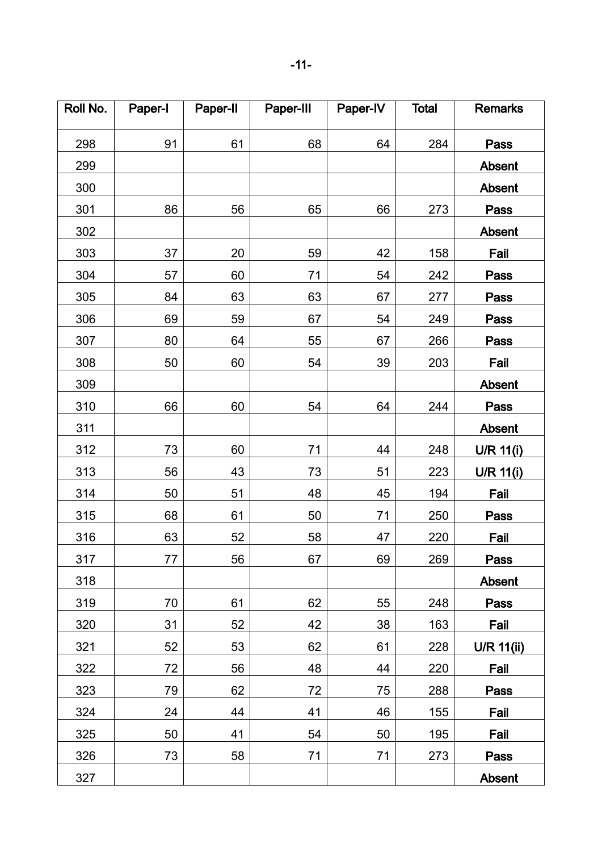| Roll No. | Paper-I | Paper-II | Paper-III | Paper-IV | <b>Total</b> | <b>Remarks</b> |
|----------|---------|----------|-----------|----------|--------------|----------------|
| 298      | 91      | 61       | 68        | 64       | 284          | Pass           |
| 299      |         |          |           |          |              | <b>Absent</b>  |
| 300      |         |          |           |          |              | <b>Absent</b>  |
| 301      | 86      | 56       | 65        | 66       | 273          | Pass           |
| 302      |         |          |           |          |              | <b>Absent</b>  |
| 303      | 37      | 20       | 59        | 42       | 158          | Fail           |
| 304      | 57      | 60       | 71        | 54       | 242          | Pass           |
| 305      | 84      | 63       | 63        | 67       | 277          | <b>Pass</b>    |
| 306      | 69      | 59       | 67        | 54       | 249          | Pass           |
| 307      | 80      | 64       | 55        | 67       | 266          | <b>Pass</b>    |
| 308      | 50      | 60       | 54        | 39       | 203          | Fail           |
| 309      |         |          |           |          |              | <b>Absent</b>  |
| 310      | 66      | 60       | 54        | 64       | 244          | Pass           |
| 311      |         |          |           |          |              | <b>Absent</b>  |
| 312      | 73      | 60       | 71        | 44       | 248          | U/R 11(i)      |
| 313      | 56      | 43       | 73        | 51       | 223          | U/R 11(i)      |
| 314      | 50      | 51       | 48        | 45       | 194          | Fail           |
| 315      | 68      | 61       | 50        | 71       | 250          | Pass           |
| 316      | 63      | 52       | 58        | 47       | 220          | Fail           |
| 317      | 77      | 56       | 67        | 69       | 269          | Pass           |
| 318      |         |          |           |          |              | Absent         |
| 319      | 70      | 61       | 62        | 55       | 248          | Pass           |
| 320      | 31      | 52       | 42        | 38       | 163          | Fail           |
| 321      | 52      | 53       | 62        | 61       | 228          | $U/R$ 11(ii)   |
| 322      | 72      | 56       | 48        | 44       | 220          | Fail           |
| 323      | 79      | 62       | 72        | 75       | 288          | Pass           |
| 324      | 24      | 44       | 41        | 46       | 155          | Fail           |
| 325      | 50      | 41       | 54        | 50       | 195          | Fail           |
| 326      | 73      | 58       | 71        | 71       | 273          | Pass           |
| 327      |         |          |           |          |              | Absent         |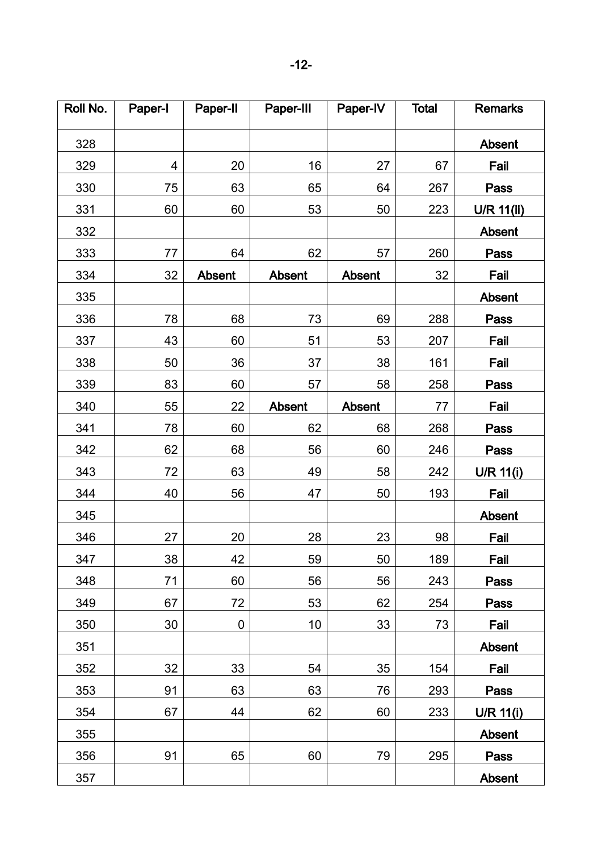| Roll No. | Paper-I | Paper-II      | Paper-III     | Paper-IV      | <b>Total</b> | <b>Remarks</b>    |
|----------|---------|---------------|---------------|---------------|--------------|-------------------|
| 328      |         |               |               |               |              | Absent            |
| 329      | 4       | 20            | 16            | 27            | 67           | Fail              |
| 330      | 75      | 63            | 65            | 64            | 267          | Pass              |
| 331      | 60      | 60            | 53            | 50            | 223          | <b>U/R 11(ii)</b> |
| 332      |         |               |               |               |              | Absent            |
| 333      | 77      | 64            | 62            | 57            | 260          | Pass              |
| 334      | 32      | <b>Absent</b> | <b>Absent</b> | <b>Absent</b> | 32           | Fail              |
| 335      |         |               |               |               |              | Absent            |
| 336      | 78      | 68            | 73            | 69            | 288          | Pass              |
| 337      | 43      | 60            | 51            | 53            | 207          | Fail              |
| 338      | 50      | 36            | 37            | 38            | 161          | Fail              |
| 339      | 83      | 60            | 57            | 58            | 258          | <b>Pass</b>       |
| 340      | 55      | 22            | Absent        | <b>Absent</b> | 77           | Fail              |
| 341      | 78      | 60            | 62            | 68            | 268          | Pass              |
| 342      | 62      | 68            | 56            | 60            | 246          | Pass              |
| 343      | 72      | 63            | 49            | 58            | 242          | U/R 11(i)         |
| 344      | 40      | 56            | 47            | 50            | 193          | Fail              |
| 345      |         |               |               |               |              | <b>Absent</b>     |
| 346      | 27      | 20            | 28            | 23            | 98           | Fail              |
| 347      | 38      | 42            | 59            | 50            | 189          | Fail              |
| 348      | 71      | 60            | 56            | 56            | 243          | Pass              |
| 349      | 67      | 72            | 53            | 62            | 254          | Pass              |
| 350      | 30      | 0             | 10            | 33            | 73           | Fail              |
| 351      |         |               |               |               |              | Absent            |
| 352      | 32      | 33            | 54            | 35            | 154          | Fail              |
| 353      | 91      | 63            | 63            | 76            | 293          | Pass              |
| 354      | 67      | 44            | 62            | 60            | 233          | $U/R$ 11(i)       |
| 355      |         |               |               |               |              | Absent            |
| 356      | 91      | 65            | 60            | 79            | 295          | Pass              |
| 357      |         |               |               |               |              | <b>Absent</b>     |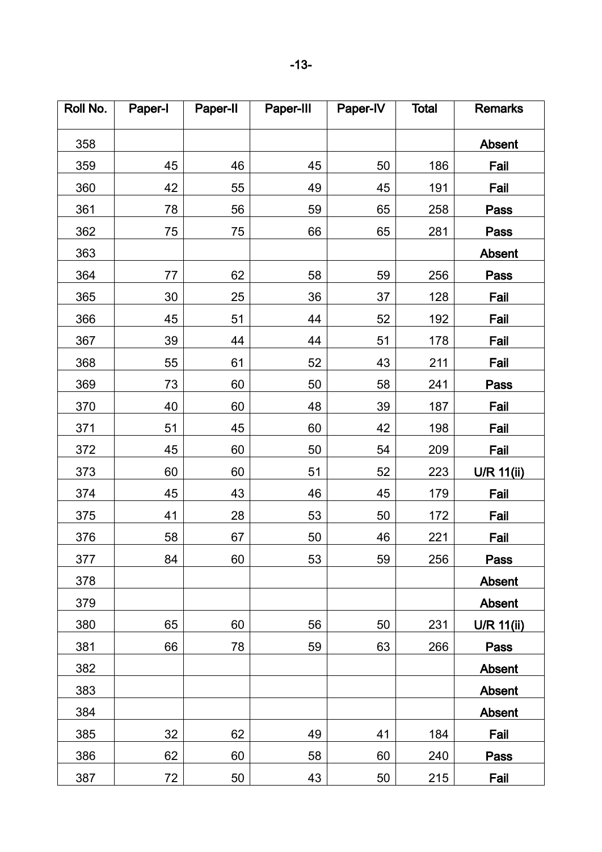| Roll No. | Paper-I | Paper-II | Paper-III | Paper-IV | <b>Total</b> | <b>Remarks</b> |
|----------|---------|----------|-----------|----------|--------------|----------------|
| 358      |         |          |           |          |              | Absent         |
| 359      | 45      | 46       | 45        | 50       | 186          | Fail           |
| 360      | 42      | 55       | 49        | 45       | 191          | Fail           |
| 361      | 78      | 56       | 59        | 65       | 258          | Pass           |
| 362      | 75      | 75       | 66        | 65       | 281          | Pass           |
| 363      |         |          |           |          |              | Absent         |
| 364      | 77      | 62       | 58        | 59       | 256          | <b>Pass</b>    |
| 365      | 30      | 25       | 36        | 37       | 128          | Fail           |
| 366      | 45      | 51       | 44        | 52       | 192          | Fail           |
| 367      | 39      | 44       | 44        | 51       | 178          | Fail           |
| 368      | 55      | 61       | 52        | 43       | 211          | Fail           |
| 369      | 73      | 60       | 50        | 58       | 241          | Pass           |
| 370      | 40      | 60       | 48        | 39       | 187          | Fail           |
| 371      | 51      | 45       | 60        | 42       | 198          | Fail           |
| 372      | 45      | 60       | 50        | 54       | 209          | Fail           |
| 373      | 60      | 60       | 51        | 52       | 223          | U/R 11(ii)     |
| 374      | 45      | 43       | 46        | 45       | 179          | Fail           |
| 375      | 41      | 28       | 53        | 50       | 172          | Fail           |
| 376      | 58      | 67       | 50        | 46       | 221          | Fail           |
| 377      | 84      | 60       | 53        | 59       | 256          | Pass           |
| 378      |         |          |           |          |              | Absent         |
| 379      |         |          |           |          |              | Absent         |
| 380      | 65      | 60       | 56        | 50       | 231          | U/R 11(ii)     |
| 381      | 66      | 78       | 59        | 63       | 266          | Pass           |
| 382      |         |          |           |          |              | Absent         |
| 383      |         |          |           |          |              | Absent         |
| 384      |         |          |           |          |              | Absent         |
| 385      | 32      | 62       | 49        | 41       | 184          | Fail           |
| 386      | 62      | 60       | 58        | 60       | 240          | Pass           |
| 387      | 72      | 50       | 43        | 50       | 215          | Fail           |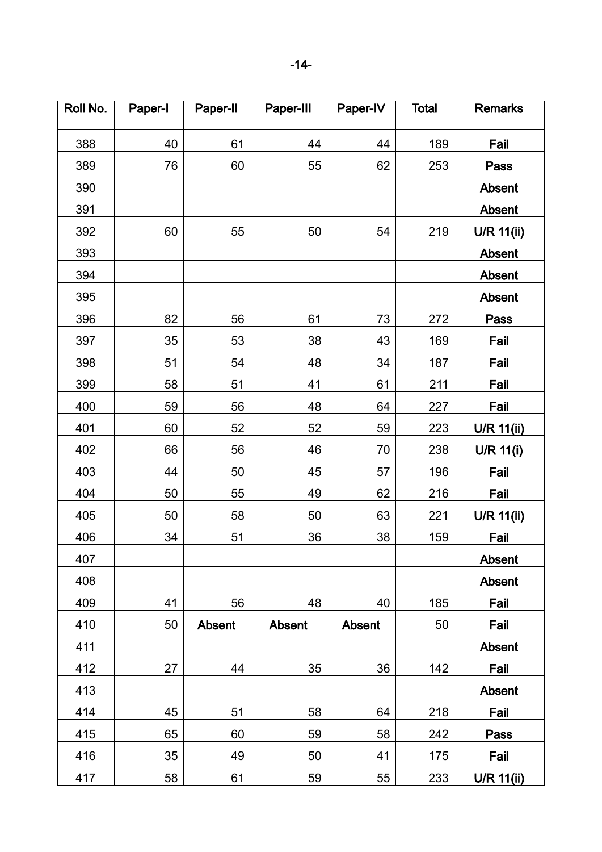| Roll No. | Paper-I | Paper-II      | Paper-III     | Paper-IV      | <b>Total</b> | <b>Remarks</b> |
|----------|---------|---------------|---------------|---------------|--------------|----------------|
| 388      | 40      | 61            | 44            | 44            | 189          | Fail           |
| 389      | 76      | 60            | 55            | 62            | 253          | <b>Pass</b>    |
| 390      |         |               |               |               |              | Absent         |
| 391      |         |               |               |               |              | <b>Absent</b>  |
| 392      | 60      | 55            | 50            | 54            | 219          | U/R 11(ii)     |
| 393      |         |               |               |               |              | Absent         |
| 394      |         |               |               |               |              | Absent         |
| 395      |         |               |               |               |              | Absent         |
| 396      | 82      | 56            | 61            | 73            | 272          | Pass           |
| 397      | 35      | 53            | 38            | 43            | 169          | Fail           |
| 398      | 51      | 54            | 48            | 34            | 187          | Fail           |
| 399      | 58      | 51            | 41            | 61            | 211          | Fail           |
| 400      | 59      | 56            | 48            | 64            | 227          | Fail           |
| 401      | 60      | 52            | 52            | 59            | 223          | U/R 11(ii)     |
| 402      | 66      | 56            | 46            | 70            | 238          | U/R 11(i)      |
| 403      | 44      | 50            | 45            | 57            | 196          | Fail           |
| 404      | 50      | 55            | 49            | 62            | 216          | Fail           |
| 405      | 50      | 58            | 50            | 63            | 221          | U/R 11(ii)     |
| 406      | 34      | 51            | 36            | 38            | 159          | Fail           |
| 407      |         |               |               |               |              | <b>Absent</b>  |
| 408      |         |               |               |               |              | Absent         |
| 409      | 41      | 56            | 48            | 40            | 185          | Fail           |
| 410      | 50      | <b>Absent</b> | <b>Absent</b> | <b>Absent</b> | 50           | Fail           |
| 411      |         |               |               |               |              | <b>Absent</b>  |
| 412      | 27      | 44            | 35            | 36            | 142          | Fail           |
| 413      |         |               |               |               |              | Absent         |
| 414      | 45      | 51            | 58            | 64            | 218          | Fail           |
| 415      | 65      | 60            | 59            | 58            | 242          | <b>Pass</b>    |
| 416      | 35      | 49            | 50            | 41            | 175          | Fail           |
| 417      | 58      | 61            | 59            | 55            | 233          | $U/R$ 11(ii)   |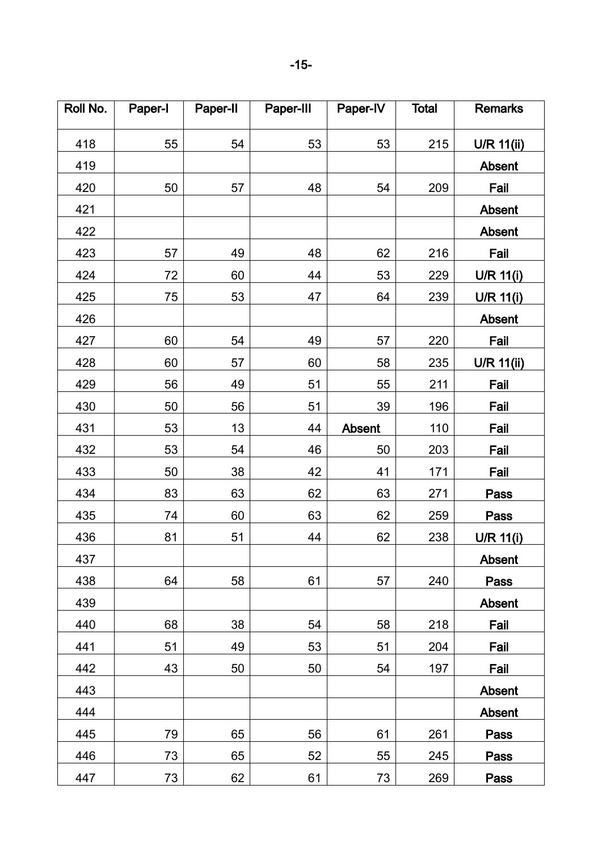| Roll No. | Paper-I | Paper-II | Paper-III | Paper-IV      | <b>Total</b> | <b>Remarks</b>    |
|----------|---------|----------|-----------|---------------|--------------|-------------------|
| 418      | 55      | 54       | 53        | 53            | 215          | <b>U/R 11(ii)</b> |
| 419      |         |          |           |               |              | <b>Absent</b>     |
| 420      | 50      | 57       | 48        | 54            | 209          | Fail              |
| 421      |         |          |           |               |              | Absent            |
| 422      |         |          |           |               |              | <b>Absent</b>     |
| 423      | 57      | 49       | 48        | 62            | 216          | Fail              |
| 424      | 72      | 60       | 44        | 53            | 229          | U/R 11(i)         |
| 425      | 75      | 53       | 47        | 64            | 239          | U/R $11(i)$       |
| 426      |         |          |           |               |              | Absent            |
| 427      | 60      | 54       | 49        | 57            | 220          | Fail              |
| 428      | 60      | 57       | 60        | 58            | 235          | U/R 11(ii)        |
| 429      | 56      | 49       | 51        | 55            | 211          | Fail              |
| 430      | 50      | 56       | 51        | 39            | 196          | Fail              |
| 431      | 53      | 13       | 44        | <b>Absent</b> | 110          | Fail              |
| 432      | 53      | 54       | 46        | 50            | 203          | Fail              |
| 433      | 50      | 38       | 42        | 41            | 171          | Fail              |
| 434      | 83      | 63       | 62        | 63            | 271          | <b>Pass</b>       |
| 435      | 74      | 60       | 63        | 62            | 259          | <b>Pass</b>       |
| 436      | 81      | 51       | 44        | 62            | 238          | U/R 11(i)         |
| 437      |         |          |           |               |              | <b>Absent</b>     |
| 438      | 64      | 58       | 61        | 57            | 240          | Pass              |
| 439      |         |          |           |               |              | Absent            |
| 440      | 68      | 38       | 54        | 58            | 218          | Fail              |
| 441      | 51      | 49       | 53        | 51            | 204          | Fail              |
| 442      | 43      | 50       | 50        | 54            | 197          | Fail              |
| 443      |         |          |           |               |              | <b>Absent</b>     |
| 444      |         |          |           |               |              | Absent            |
| 445      | 79      | 65       | 56        | 61            | 261          | Pass              |
| 446      | 73      | 65       | 52        | 55            | 245          | Pass              |
| 447      | 73      | 62       | 61        | 73            | 269          | Pass              |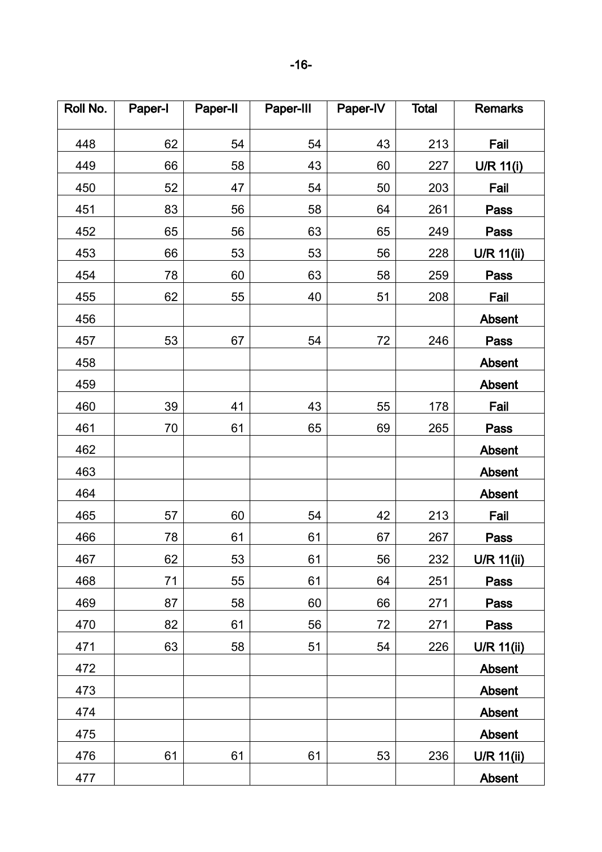| Roll No. | Paper-I | Paper-II | Paper-III | Paper-IV | <b>Total</b> | <b>Remarks</b>    |
|----------|---------|----------|-----------|----------|--------------|-------------------|
| 448      | 62      | 54       | 54        | 43       | 213          | Fail              |
| 449      | 66      | 58       | 43        | 60       | 227          | U/R 11(i)         |
| 450      | 52      | 47       | 54        | 50       | 203          | Fail              |
| 451      | 83      | 56       | 58        | 64       | 261          | <b>Pass</b>       |
| 452      | 65      | 56       | 63        | 65       | 249          | <b>Pass</b>       |
| 453      | 66      | 53       | 53        | 56       | 228          | <b>U/R 11(ii)</b> |
| 454      | 78      | 60       | 63        | 58       | 259          | Pass              |
| 455      | 62      | 55       | 40        | 51       | 208          | Fail              |
| 456      |         |          |           |          |              | Absent            |
| 457      | 53      | 67       | 54        | 72       | 246          | Pass              |
| 458      |         |          |           |          |              | Absent            |
| 459      |         |          |           |          |              | <b>Absent</b>     |
| 460      | 39      | 41       | 43        | 55       | 178          | Fail              |
| 461      | 70      | 61       | 65        | 69       | 265          | Pass              |
| 462      |         |          |           |          |              | Absent            |
| 463      |         |          |           |          |              | Absent            |
| 464      |         |          |           |          |              | Absent            |
| 465      | 57      | 60       | 54        | 42       | 213          | Fail              |
| 466      | 78      | 61       | 61        | 67       | 267          | Pass              |
| 467      | 62      | 53       | 61        | 56       | 232          | <b>U/R 11(ii)</b> |
| 468      | 71      | 55       | 61        | 64       | 251          | Pass              |
| 469      | 87      | 58       | 60        | 66       | 271          | Pass              |
| 470      | 82      | 61       | 56        | 72       | 271          | Pass              |
| 471      | 63      | 58       | 51        | 54       | 226          | U/R 11(ii)        |
| 472      |         |          |           |          |              | Absent            |
| 473      |         |          |           |          |              | Absent            |
| 474      |         |          |           |          |              | Absent            |
| 475      |         |          |           |          |              | Absent            |
| 476      | 61      | 61       | 61        | 53       | 236          | U/R 11(ii)        |
| 477      |         |          |           |          |              | Absent            |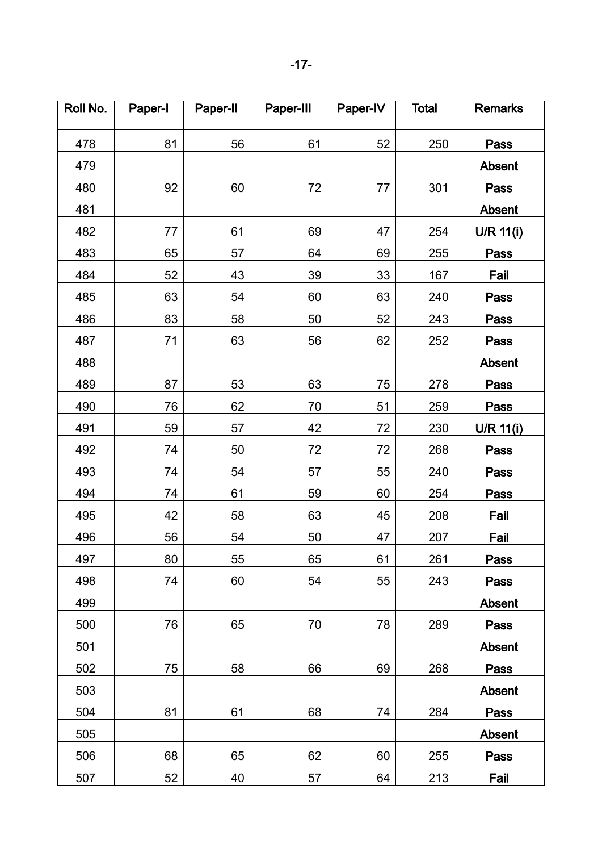| Roll No. | Paper-I | Paper-II | Paper-III | Paper-IV | <b>Total</b> | <b>Remarks</b> |
|----------|---------|----------|-----------|----------|--------------|----------------|
| 478      | 81      | 56       | 61        | 52       | 250          | Pass           |
| 479      |         |          |           |          |              | Absent         |
| 480      | 92      | 60       | 72        | 77       | 301          | Pass           |
| 481      |         |          |           |          |              | Absent         |
| 482      | 77      | 61       | 69        | 47       | 254          | U/R 11(i)      |
| 483      | 65      | 57       | 64        | 69       | 255          | Pass           |
| 484      | 52      | 43       | 39        | 33       | 167          | Fail           |
| 485      | 63      | 54       | 60        | 63       | 240          | Pass           |
| 486      | 83      | 58       | 50        | 52       | 243          | Pass           |
| 487      | 71      | 63       | 56        | 62       | 252          | Pass           |
| 488      |         |          |           |          |              | <b>Absent</b>  |
| 489      | 87      | 53       | 63        | 75       | 278          | Pass           |
| 490      | 76      | 62       | 70        | 51       | 259          | Pass           |
| 491      | 59      | 57       | 42        | 72       | 230          | $U/R$ 11(i)    |
| 492      | 74      | 50       | 72        | 72       | 268          | Pass           |
| 493      | 74      | 54       | 57        | 55       | 240          | Pass           |
| 494      | 74      | 61       | 59        | 60       | 254          | Pass           |
| 495      | 42      | 58       | 63        | 45       | 208          | Fail           |
| 496      | 56      | 54       | 50        | 47       | 207          | Fail           |
| 497      | 80      | 55       | 65        | 61       | 261          | Pass           |
| 498      | 74      | 60       | 54        | 55       | 243          | Pass           |
| 499      |         |          |           |          |              | Absent         |
| 500      | 76      | 65       | 70        | 78       | 289          | Pass           |
| 501      |         |          |           |          |              | <b>Absent</b>  |
| 502      | 75      | 58       | 66        | 69       | 268          | Pass           |
| 503      |         |          |           |          |              | Absent         |
| 504      | 81      | 61       | 68        | 74       | 284          | Pass           |
| 505      |         |          |           |          |              | Absent         |
| 506      | 68      | 65       | 62        | 60       | 255          | Pass           |
| 507      | 52      | 40       | 57        | 64       | 213          | Fail           |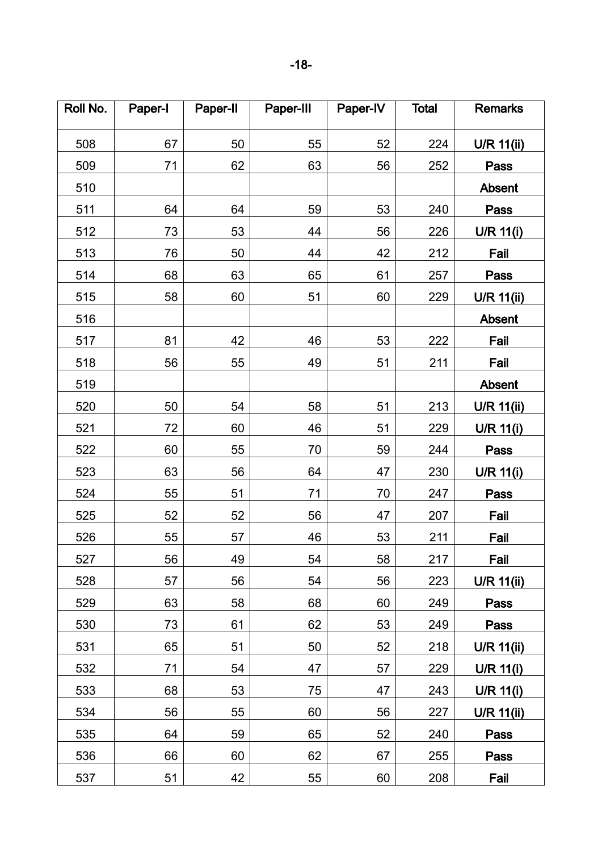| Roll No. | Paper-I | Paper-II | Paper-III | Paper-IV | <b>Total</b> | <b>Remarks</b> |
|----------|---------|----------|-----------|----------|--------------|----------------|
| 508      | 67      | 50       | 55        | 52       | 224          | U/R 11(ii)     |
| 509      | 71      | 62       | 63        | 56       | 252          | Pass           |
| 510      |         |          |           |          |              | Absent         |
| 511      | 64      | 64       | 59        | 53       | 240          | Pass           |
| 512      | 73      | 53       | 44        | 56       | 226          | U/R 11(i)      |
| 513      | 76      | 50       | 44        | 42       | 212          | Fail           |
| 514      | 68      | 63       | 65        | 61       | 257          | Pass           |
| 515      | 58      | 60       | 51        | 60       | 229          | U/R 11(ii)     |
| 516      |         |          |           |          |              | Absent         |
| 517      | 81      | 42       | 46        | 53       | 222          | Fail           |
| 518      | 56      | 55       | 49        | 51       | 211          | Fail           |
| 519      |         |          |           |          |              | Absent         |
| 520      | 50      | 54       | 58        | 51       | 213          | U/R 11(ii)     |
| 521      | 72      | 60       | 46        | 51       | 229          | U/R 11(i)      |
| 522      | 60      | 55       | 70        | 59       | 244          | Pass           |
| 523      | 63      | 56       | 64        | 47       | 230          | $U/R$ 11(i)    |
| 524      | 55      | 51       | 71        | 70       | 247          | Pass           |
| 525      | 52      | 52       | 56        | 47       | 207          | Fail           |
| 526      | 55      | 57       | 46        | 53       | 211          | Fail           |
| 527      | 56      | 49       | 54        | 58       | 217          | Fail           |
| 528      | 57      | 56       | 54        | 56       | 223          | $U/R$ 11(ii)   |
| 529      | 63      | 58       | 68        | 60       | 249          | Pass           |
| 530      | 73      | 61       | 62        | 53       | 249          | Pass           |
| 531      | 65      | 51       | 50        | 52       | 218          | $U/R$ 11(ii)   |
| 532      | 71      | 54       | 47        | 57       | 229          | U/R 11(i)      |
| 533      | 68      | 53       | 75        | 47       | 243          | U/R 11(i)      |
| 534      | 56      | 55       | 60        | 56       | 227          | U/R $11(ii)$   |
| 535      | 64      | 59       | 65        | 52       | 240          | Pass           |
| 536      | 66      | 60       | 62        | 67       | 255          | Pass           |
| 537      | 51      | 42       | 55        | 60       | 208          | Fail           |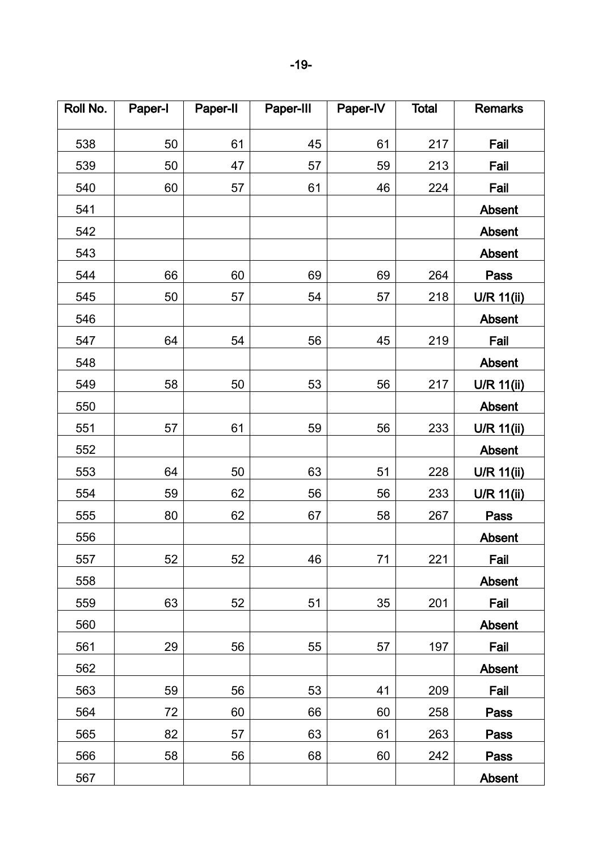| Roll No. | Paper-I | Paper-II | Paper-III | Paper-IV | <b>Total</b> | <b>Remarks</b>    |
|----------|---------|----------|-----------|----------|--------------|-------------------|
| 538      | 50      | 61       | 45        | 61       | 217          | Fail              |
| 539      | 50      | 47       | 57        | 59       | 213          | Fail              |
| 540      | 60      | 57       | 61        | 46       | 224          | Fail              |
| 541      |         |          |           |          |              | Absent            |
| 542      |         |          |           |          |              | Absent            |
| 543      |         |          |           |          |              | <b>Absent</b>     |
| 544      | 66      | 60       | 69        | 69       | 264          | Pass              |
| 545      | 50      | 57       | 54        | 57       | 218          | U/R 11(ii)        |
| 546      |         |          |           |          |              | Absent            |
| 547      | 64      | 54       | 56        | 45       | 219          | Fail              |
| 548      |         |          |           |          |              | Absent            |
| 549      | 58      | 50       | 53        | 56       | 217          | <b>U/R 11(ii)</b> |
| 550      |         |          |           |          |              | Absent            |
| 551      | 57      | 61       | 59        | 56       | 233          | U/R 11(ii)        |
| 552      |         |          |           |          |              | Absent            |
| 553      | 64      | 50       | 63        | 51       | 228          | U/R 11(ii)        |
| 554      | 59      | 62       | 56        | 56       | 233          | U/R 11(ii)        |
| 555      | 80      | 62       | 67        | 58       | 267          | Pass              |
| 556      |         |          |           |          |              | Absent            |
| 557      | 52      | 52       | 46        | 71       | 221          | Fail              |
| 558      |         |          |           |          |              | Absent            |
| 559      | 63      | 52       | 51        | 35       | 201          | Fail              |
| 560      |         |          |           |          |              | Absent            |
| 561      | 29      | 56       | 55        | 57       | 197          | Fail              |
| 562      |         |          |           |          |              | Absent            |
| 563      | 59      | 56       | 53        | 41       | 209          | Fail              |
| 564      | 72      | 60       | 66        | 60       | 258          | Pass              |
| 565      | 82      | 57       | 63        | 61       | 263          | Pass              |
| 566      | 58      | 56       | 68        | 60       | 242          | Pass              |
| 567      |         |          |           |          |              | Absent            |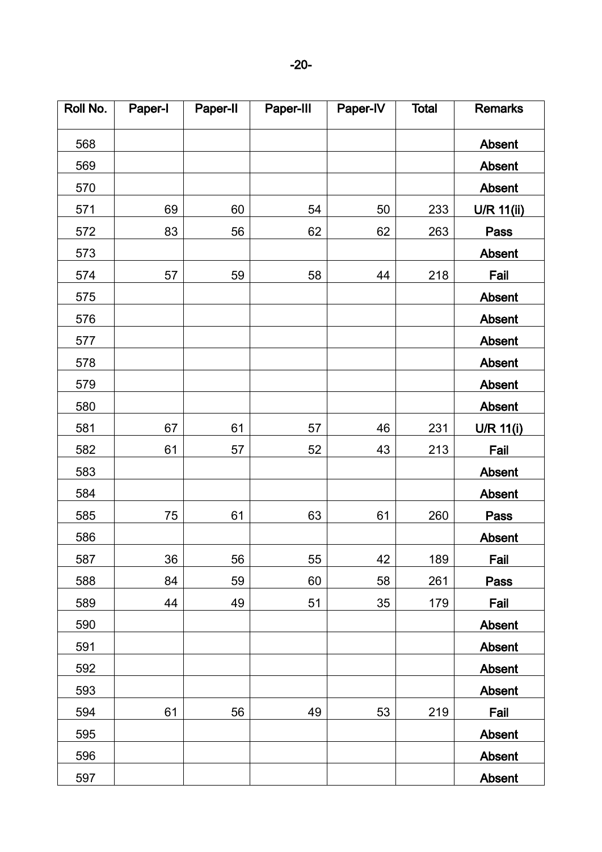| Roll No. | Paper-I | Paper-II | Paper-III | Paper-IV | <b>Total</b> | <b>Remarks</b>    |
|----------|---------|----------|-----------|----------|--------------|-------------------|
| 568      |         |          |           |          |              | Absent            |
| 569      |         |          |           |          |              | Absent            |
| 570      |         |          |           |          |              | <b>Absent</b>     |
| 571      | 69      | 60       | 54        | 50       | 233          | <b>U/R 11(ii)</b> |
| 572      | 83      | 56       | 62        | 62       | 263          | Pass              |
| 573      |         |          |           |          |              | Absent            |
| 574      | 57      | 59       | 58        | 44       | 218          | Fail              |
| 575      |         |          |           |          |              | <b>Absent</b>     |
| 576      |         |          |           |          |              | Absent            |
| 577      |         |          |           |          |              | Absent            |
| 578      |         |          |           |          |              | Absent            |
| 579      |         |          |           |          |              | Absent            |
| 580      |         |          |           |          |              | <b>Absent</b>     |
| 581      | 67      | 61       | 57        | 46       | 231          | <b>U/R 11(i)</b>  |
| 582      | 61      | 57       | 52        | 43       | 213          | Fail              |
| 583      |         |          |           |          |              | Absent            |
| 584      |         |          |           |          |              | Absent            |
| 585      | 75      | 61       | 63        | 61       | 260          | Pass              |
| 586      |         |          |           |          |              | Absent            |
| 587      | 36      | 56       | 55        | 42       | 189          | Fail              |
| 588      | 84      | 59       | 60        | 58       | 261          | Pass              |
| 589      | 44      | 49       | 51        | 35       | 179          | Fail              |
| 590      |         |          |           |          |              | <b>Absent</b>     |
| 591      |         |          |           |          |              | <b>Absent</b>     |
| 592      |         |          |           |          |              | Absent            |
| 593      |         |          |           |          |              | <b>Absent</b>     |
| 594      | 61      | 56       | 49        | 53       | 219          | Fail              |
| 595      |         |          |           |          |              | Absent            |
| 596      |         |          |           |          |              | <b>Absent</b>     |
| 597      |         |          |           |          |              | <b>Absent</b>     |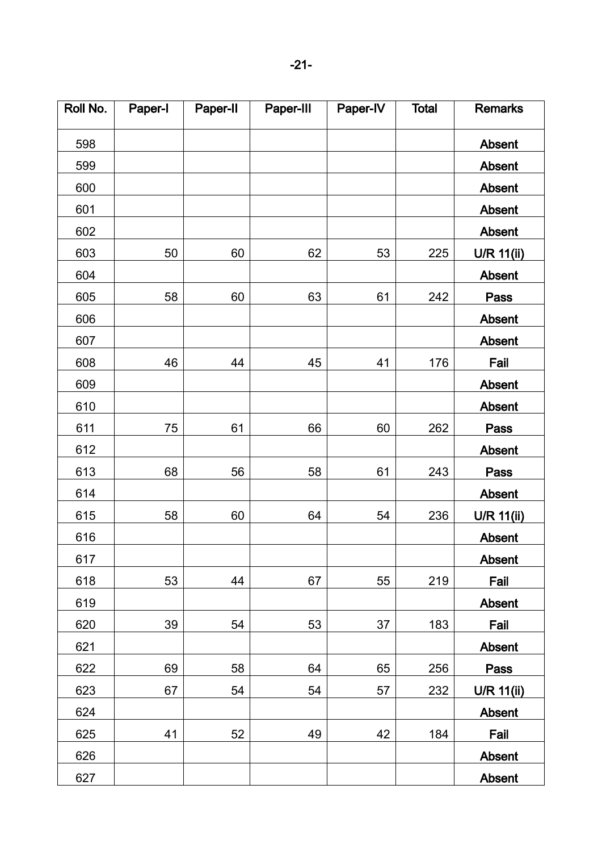| Roll No. | Paper-I | Paper-II | Paper-III | Paper-IV | <b>Total</b> | <b>Remarks</b>    |
|----------|---------|----------|-----------|----------|--------------|-------------------|
| 598      |         |          |           |          |              | Absent            |
| 599      |         |          |           |          |              | Absent            |
| 600      |         |          |           |          |              | Absent            |
| 601      |         |          |           |          |              | Absent            |
| 602      |         |          |           |          |              | Absent            |
| 603      | 50      | 60       | 62        | 53       | 225          | U/R 11(ii)        |
| 604      |         |          |           |          |              | Absent            |
| 605      | 58      | 60       | 63        | 61       | 242          | Pass              |
| 606      |         |          |           |          |              | Absent            |
| 607      |         |          |           |          |              | Absent            |
| 608      | 46      | 44       | 45        | 41       | 176          | Fail              |
| 609      |         |          |           |          |              | <b>Absent</b>     |
| 610      |         |          |           |          |              | <b>Absent</b>     |
| 611      | 75      | 61       | 66        | 60       | 262          | <b>Pass</b>       |
| 612      |         |          |           |          |              | Absent            |
| 613      | 68      | 56       | 58        | 61       | 243          | Pass              |
| 614      |         |          |           |          |              | Absent            |
| 615      | 58      | 60       | 64        | 54       | 236          | U/R 11(ii)        |
| 616      |         |          |           |          |              | Absent            |
| 617      |         |          |           |          |              | <b>Absent</b>     |
| 618      | 53      | 44       | 67        | 55       | 219          | Fail              |
| 619      |         |          |           |          |              | <b>Absent</b>     |
| 620      | 39      | 54       | 53        | 37       | 183          | Fail              |
| 621      |         |          |           |          |              | <b>Absent</b>     |
| 622      | 69      | 58       | 64        | 65       | 256          | Pass              |
| 623      | 67      | 54       | 54        | 57       | 232          | <b>U/R 11(ii)</b> |
| 624      |         |          |           |          |              | Absent            |
| 625      | 41      | 52       | 49        | 42       | 184          | Fail              |
| 626      |         |          |           |          |              | <b>Absent</b>     |
| 627      |         |          |           |          |              | <b>Absent</b>     |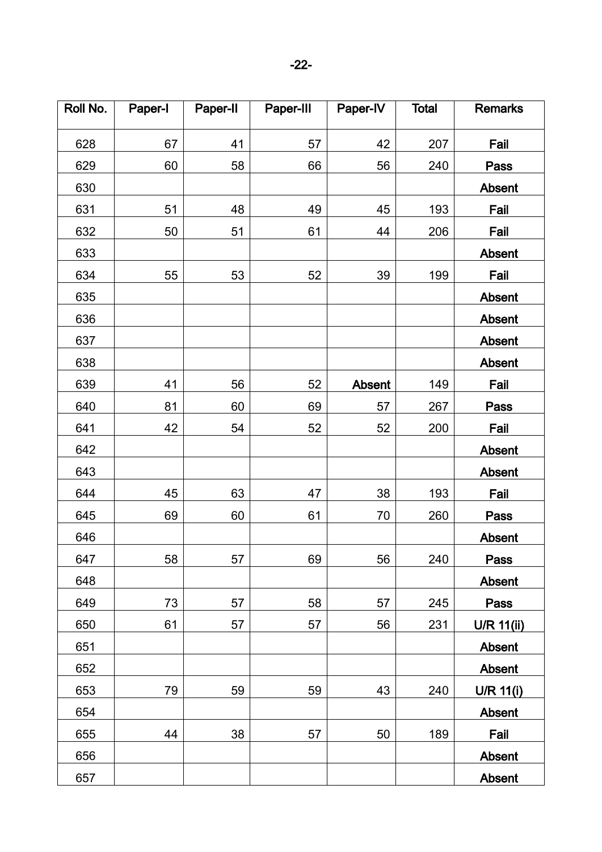| Roll No. | Paper-I | Paper-II | Paper-III | Paper-IV | <b>Total</b> | <b>Remarks</b>    |
|----------|---------|----------|-----------|----------|--------------|-------------------|
| 628      | 67      | 41       | 57        | 42       | 207          | Fail              |
| 629      | 60      | 58       | 66        | 56       | 240          | Pass              |
| 630      |         |          |           |          |              | Absent            |
| 631      | 51      | 48       | 49        | 45       | 193          | Fail              |
| 632      | 50      | 51       | 61        | 44       | 206          | Fail              |
| 633      |         |          |           |          |              | <b>Absent</b>     |
| 634      | 55      | 53       | 52        | 39       | 199          | Fail              |
| 635      |         |          |           |          |              | Absent            |
| 636      |         |          |           |          |              | Absent            |
| 637      |         |          |           |          |              | Absent            |
| 638      |         |          |           |          |              | <b>Absent</b>     |
| 639      | 41      | 56       | 52        | Absent   | 149          | Fail              |
| 640      | 81      | 60       | 69        | 57       | 267          | <b>Pass</b>       |
| 641      | 42      | 54       | 52        | 52       | 200          | Fail              |
| 642      |         |          |           |          |              | <b>Absent</b>     |
| 643      |         |          |           |          |              | Absent            |
| 644      | 45      | 63       | 47        | 38       | 193          | Fail              |
| 645      | 69      | 60       | 61        | 70       | 260          | <b>Pass</b>       |
| 646      |         |          |           |          |              | Absent            |
| 647      | 58      | 57       | 69        | 56       | 240          | Pass              |
| 648      |         |          |           |          |              | Absent            |
| 649      | 73      | 57       | 58        | 57       | 245          | Pass              |
| 650      | 61      | 57       | 57        | 56       | 231          | <b>U/R 11(ii)</b> |
| 651      |         |          |           |          |              | <b>Absent</b>     |
| 652      |         |          |           |          |              | Absent            |
| 653      | 79      | 59       | 59        | 43       | 240          | U/R 11(i)         |
| 654      |         |          |           |          |              | Absent            |
| 655      | 44      | 38       | 57        | 50       | 189          | Fail              |
| 656      |         |          |           |          |              | <b>Absent</b>     |
| 657      |         |          |           |          |              | <b>Absent</b>     |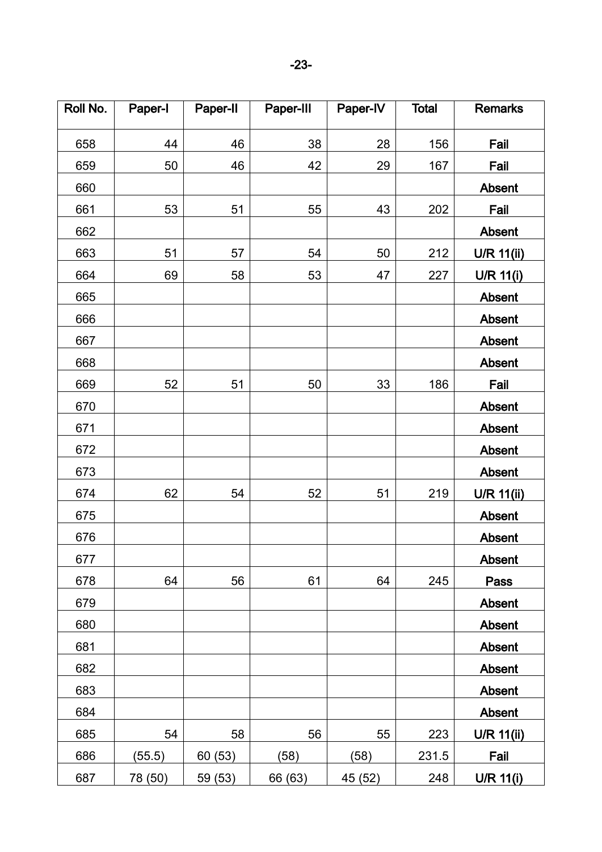| Roll No. | Paper-I | Paper-II | Paper-III | Paper-IV | <b>Total</b> | <b>Remarks</b>    |
|----------|---------|----------|-----------|----------|--------------|-------------------|
| 658      | 44      | 46       | 38        | 28       | 156          | Fail              |
| 659      | 50      | 46       | 42        | 29       | 167          | Fail              |
| 660      |         |          |           |          |              | Absent            |
| 661      | 53      | 51       | 55        | 43       | 202          | Fail              |
| 662      |         |          |           |          |              | Absent            |
| 663      | 51      | 57       | 54        | 50       | 212          | U/R 11(ii)        |
| 664      | 69      | 58       | 53        | 47       | 227          | U/R 11(i)         |
| 665      |         |          |           |          |              | Absent            |
| 666      |         |          |           |          |              | Absent            |
| 667      |         |          |           |          |              | Absent            |
| 668      |         |          |           |          |              | Absent            |
| 669      | 52      | 51       | 50        | 33       | 186          | Fail              |
| 670      |         |          |           |          |              | Absent            |
| 671      |         |          |           |          |              | Absent            |
| 672      |         |          |           |          |              | Absent            |
| 673      |         |          |           |          |              | Absent            |
| 674      | 62      | 54       | 52        | 51       | 219          | U/R 11(ii)        |
| 675      |         |          |           |          |              | <b>Absent</b>     |
| 676      |         |          |           |          |              | Absent            |
| 677      |         |          |           |          |              | <b>Absent</b>     |
| 678      | 64      | 56       | 61        | 64       | 245          | Pass              |
| 679      |         |          |           |          |              | Absent            |
| 680      |         |          |           |          |              | Absent            |
| 681      |         |          |           |          |              | Absent            |
| 682      |         |          |           |          |              | Absent            |
| 683      |         |          |           |          |              | Absent            |
| 684      |         |          |           |          |              | <b>Absent</b>     |
| 685      | 54      | 58       | 56        | 55       | 223          | <b>U/R 11(ii)</b> |
| 686      | (55.5)  | 60(53)   | (58)      | (58)     | 231.5        | Fail              |
| 687      | 78 (50) | 59(53)   | 66 (63)   | 45(52)   | 248          | U/R 11(i)         |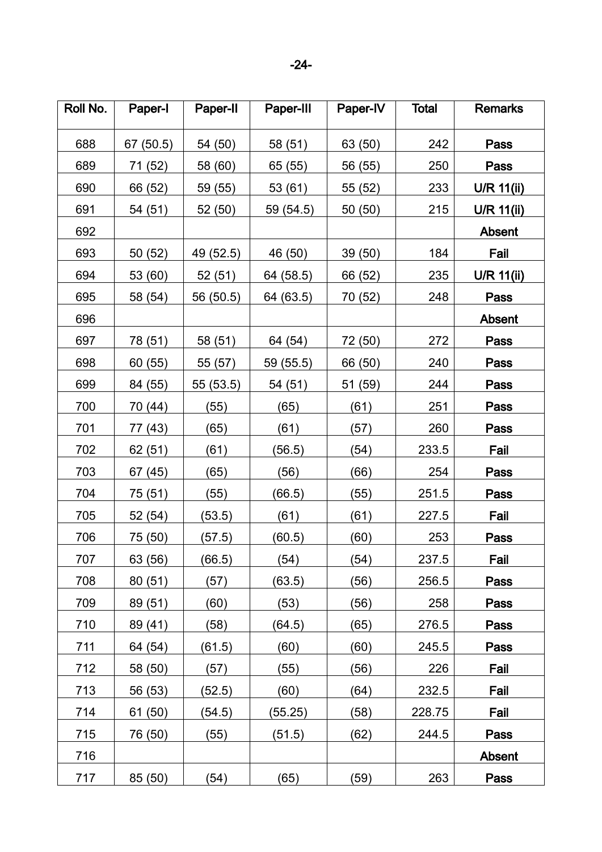| Roll No. | Paper-I   | Paper-II  | Paper-III | Paper-IV | <b>Total</b> | <b>Remarks</b>    |
|----------|-----------|-----------|-----------|----------|--------------|-------------------|
| 688      | 67 (50.5) | 54 (50)   | 58 (51)   | 63 (50)  | 242          | Pass              |
| 689      | 71 (52)   | 58 (60)   | 65 (55)   | 56 (55)  | 250          | Pass              |
| 690      | 66 (52)   | 59 (55)   | 53 (61)   | 55 (52)  | 233          | $U/R$ 11(ii)      |
| 691      | 54 (51)   | 52 (50)   | 59 (54.5) | 50 (50)  | 215          | <b>U/R 11(ii)</b> |
| 692      |           |           |           |          |              | Absent            |
| 693      | 50 (52)   | 49 (52.5) | 46 (50)   | 39 (50)  | 184          | Fail              |
| 694      | 53 (60)   | 52(51)    | 64 (58.5) | 66 (52)  | 235          | $U/R$ 11(ii)      |
| 695      | 58 (54)   | 56 (50.5) | 64 (63.5) | 70 (52)  | 248          | Pass              |
| 696      |           |           |           |          |              | Absent            |
| 697      | 78 (51)   | 58 (51)   | 64 (54)   | 72 (50)  | 272          | Pass              |
| 698      | 60 (55)   | 55 (57)   | 59 (55.5) | 66 (50)  | 240          | <b>Pass</b>       |
| 699      | 84 (55)   | 55 (53.5) | 54 (51)   | 51 (59)  | 244          | Pass              |
| 700      | 70 (44)   | (55)      | (65)      | (61)     | 251          | Pass              |
| 701      | 77 (43)   | (65)      | (61)      | (57)     | 260          | Pass              |
| 702      | 62 (51)   | (61)      | (56.5)    | (54)     | 233.5        | Fail              |
| 703      | 67 (45)   | (65)      | (56)      | (66)     | 254          | <b>Pass</b>       |
| 704      | 75 (51)   | (55)      | (66.5)    | (55)     | 251.5        | Pass              |
| 705      | 52 (54)   | (53.5)    | (61)      | (61)     | 227.5        | Fail              |
| 706      | 75 (50)   | (57.5)    | (60.5)    | (60)     | 253          | Pass              |
| 707      | 63 (56)   | (66.5)    | (54)      | (54)     | 237.5        | Fail              |
| 708      | 80(51)    | (57)      | (63.5)    | (56)     | 256.5        | Pass              |
| 709      | 89 (51)   | (60)      | (53)      | (56)     | 258          | <b>Pass</b>       |
| 710      | 89 (41)   | (58)      | (64.5)    | (65)     | 276.5        | Pass              |
| 711      | 64 (54)   | (61.5)    | (60)      | (60)     | 245.5        | Pass              |
| 712      | 58 (50)   | (57)      | (55)      | (56)     | 226          | Fail              |
| 713      | 56 (53)   | (52.5)    | (60)      | (64)     | 232.5        | Fail              |
| 714      | 61 (50)   | (54.5)    | (55.25)   | (58)     | 228.75       | Fail              |
| 715      | 76 (50)   | (55)      | (51.5)    | (62)     | 244.5        | Pass              |
| 716      |           |           |           |          |              | <b>Absent</b>     |
| 717      | 85 (50)   | (54)      | (65)      | (59)     | 263          | Pass              |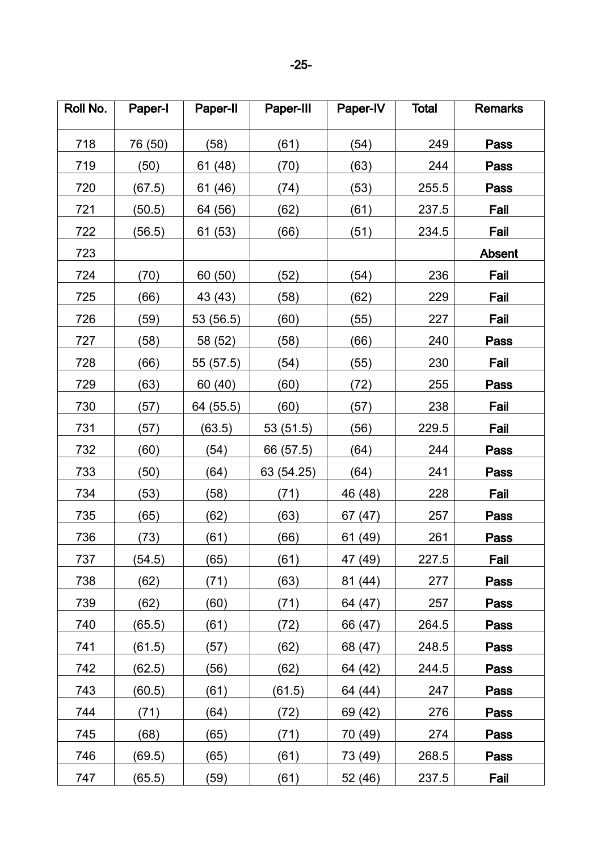| Roll No. | Paper-I | Paper-II  | Paper-III  | Paper-IV | <b>Total</b> | <b>Remarks</b> |
|----------|---------|-----------|------------|----------|--------------|----------------|
| 718      | 76 (50) | (58)      | (61)       | (54)     | 249          | Pass           |
| 719      | (50)    | 61 (48)   | (70)       | (63)     | 244          | Pass           |
| 720      | (67.5)  | 61 (46)   | (74)       | (53)     | 255.5        | Pass           |
| 721      | (50.5)  | 64 (56)   | (62)       | (61)     | 237.5        | Fail           |
| 722      | (56.5)  | 61 (53)   | (66)       | (51)     | 234.5        | Fail           |
| 723      |         |           |            |          |              | <b>Absent</b>  |
| 724      | (70)    | 60 (50)   | (52)       | (54)     | 236          | Fail           |
| 725      | (66)    | 43 (43)   | (58)       | (62)     | 229          | Fail           |
| 726      | (59)    | 53 (56.5) | (60)       | (55)     | 227          | Fail           |
| 727      | (58)    | 58 (52)   | (58)       | (66)     | 240          | <b>Pass</b>    |
| 728      | (66)    | 55 (57.5) | (54)       | (55)     | 230          | Fail           |
| 729      | (63)    | 60 (40)   | (60)       | (72)     | 255          | Pass           |
| 730      | (57)    | 64 (55.5) | (60)       | (57)     | 238          | Fail           |
| 731      | (57)    | (63.5)    | 53 (51.5)  | (56)     | 229.5        | Fail           |
| 732      | (60)    | (54)      | 66 (57.5)  | (64)     | 244          | Pass           |
| 733      | (50)    | (64)      | 63 (54.25) | (64)     | 241          | Pass           |
| 734      | (53)    | (58)      | (71)       | 46 (48)  | 228          | Fail           |
| 735      | (65)    | (62)      | (63)       | 67 (47)  | 257          | <b>Pass</b>    |
| 736      | (73)    | (61)      | (66)       | 61 (49)  | 261          | <b>Pass</b>    |
| 737      | (54.5)  | (65)      | (61)       | 47 (49)  | 227.5        | Fail           |
| 738      | (62)    | (71)      | (63)       | 81 (44)  | 277          | <b>Pass</b>    |
| 739      | (62)    | (60)      | (71)       | 64 (47)  | 257          | Pass           |
| 740      | (65.5)  | (61)      | (72)       | 66 (47)  | 264.5        | Pass           |
| 741      | (61.5)  | (57)      | (62)       | 68 (47)  | 248.5        | <b>Pass</b>    |
| 742      | (62.5)  | (56)      | (62)       | 64 (42)  | 244.5        | Pass           |
| 743      | (60.5)  | (61)      | (61.5)     | 64 (44)  | 247          | <b>Pass</b>    |
| 744      | (71)    | (64)      | (72)       | 69 (42)  | 276          | Pass           |
| 745      | (68)    | (65)      | (71)       | 70 (49)  | 274          | Pass           |
| 746      | (69.5)  | (65)      | (61)       | 73 (49)  | 268.5        | <b>Pass</b>    |
| 747      | (65.5)  | (59)      | (61)       | 52 (46)  | 237.5        | Fail           |